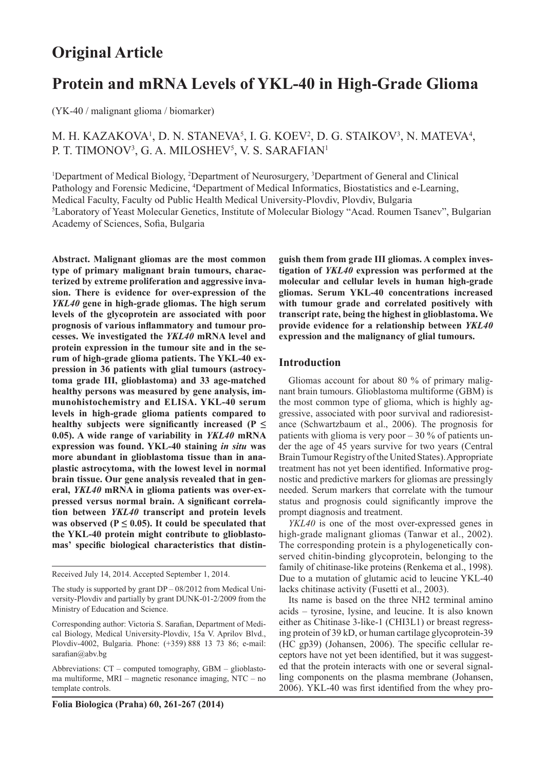# **Original Article**

# **Protein and mRNA Levels of YKL-40 in High-Grade Glioma**

(YK-40 / malignant glioma / biomarker)

# M. H. KAZAKOVA<sup>1</sup>, D. N. STANEVA<sup>5</sup>, I. G. KOEV<sup>2</sup>, D. G. STAIKOV<sup>3</sup>, N. MATEVA<sup>4</sup>, P. T. TIMONOV<sup>3</sup>, G. A. MILOSHEV<sup>5</sup>, V. S. SARAFIAN<sup>1</sup>

<sup>1</sup>Department of Medical Biology, <sup>2</sup>Department of Neurosurgery, <sup>3</sup>Department of General and Clinical Pathology and Forensic Medicine, <sup>4</sup>Department of Medical Informatics, Biostatistics and e-Learning, Medical Faculty, Faculty od Public Health Medical University-Plovdiv, Plovdiv, Bulgaria 5 Laboratory of Yeast Molecular Genetics, Institute of Molecular Biology "Acad. Roumen Tsanev", Bulgarian Academy of Sciences, Sofia, Bulgaria

**Abstract. Malignant gliomas are the most common type of primary malignant brain tumours, characterized by extreme proliferation and aggressive invasion. There is evidence for over-expression of the**  *YKL40* **gene in high-grade gliomas. The high serum levels of the glycoprotein are associated with poor prognosis of various inflammatory and tumour processes. We investigated the** *YKL40* **mRNA level and protein expression in the tumour site and in the serum of high-grade glioma patients. The YKL-40 expression in 36 patients with glial tumours (astrocytoma grade III, glioblastoma) and 33 age-matched healthy persons was measured by gene analysis, immunohistochemistry and ELISA. YKL-40 serum levels in high-grade glioma patients compared to healthy subjects were significantly increased (P ≤ 0.05). A wide range of variability in** *YKL40* **mRNA expression was found. YKL-40 staining** *in situ* **was more abundant in glioblastoma tissue than in anaplastic astrocytoma, with the lowest level in normal brain tissue. Our gene analysis revealed that in general,** *YKL40* **mRNA in glioma patients was over-expressed versus normal brain. A significant correlation between** *YKL40* **transcript and protein levels**  was observed ( $P \leq 0.05$ ). It could be speculated that **the YKL-40 protein might contribute to glioblastomas' specific biological characteristics that distin-**

Received July 14, 2014. Accepted September 1, 2014.

The study is supported by grant DP – 08/2012 from Medical University-Plovdiv and partially by grant DUNK-01-2/2009 from the Ministry of Education and Science.

Corresponding author: Victoria S. Sarafian, Department of Medical Biology, Medical University-Plovdiv, 15a V. Aprilov Blvd., Plovdiv-4002, Bulgaria. Phone: (+359) 888 13 73 86; e-mail: sarafian@abv.bg

Abbreviations: CT – computed tomography, GBM – glioblastoma multiforme, MRI – magnetic resonance imaging, NTC – no template controls.

**Folia Biologica (Praha) 60, 261-267 (2014)**

**guish them from grade III gliomas. A complex investigation of** *YKL40* **expression was performed at the molecular and cellular levels in human high-grade gliomas. Serum YKL-40 concentrations increased with tumour grade and correlated positively with transcript rate, being the highest in glioblastoma. We provide evidence for a relationship between** *YKL40* **expression and the malignancy of glial tumours.** 

#### **Introduction**

Gliomas account for about 80 % of primary malignant brain tumours. Glioblastoma multiforme (GBM) is the most common type of glioma, which is highly aggressive, associated with poor survival and radioresistance (Schwartzbaum et al., 2006). The prognosis for patients with glioma is very poor  $-30\%$  of patients under the age of 45 years survive for two years (Central Brain Tumour Registry of the United States). Appropriate treatment has not yet been identified. Informative prognostic and predictive markers for gliomas are pressingly needed. Serum markers that correlate with the tumour status and prognosis could significantly improve the prompt diagnosis and treatment.

*YKL40* is one of the most over-expressed genes in high-grade malignant gliomas (Tanwar et al., 2002). The corresponding protein is a phylogenetically conserved chitin-binding glycoprotein, belonging to the family of chitinase-like proteins (Renkema et al., 1998). Due to a mutation of glutamic acid to leucine YKL-40 lacks chitinase activity (Fusetti et al., 2003).

Its name is based on the three NH2 terminal amino acids – tyrosine, lysine, and leucine. It is also known either as Chitinase 3-like-1 (CHI3L1) or breast regressing protein of 39 kD, or human cartilage glycoprotein-39 (HC gp39) (Johansen, 2006). The specific cellular receptors have not yet been identified, but it was suggested that the protein interacts with one or several signalling components on the plasma membrane (Johansen, 2006). YKL-40 was first identified from the whey pro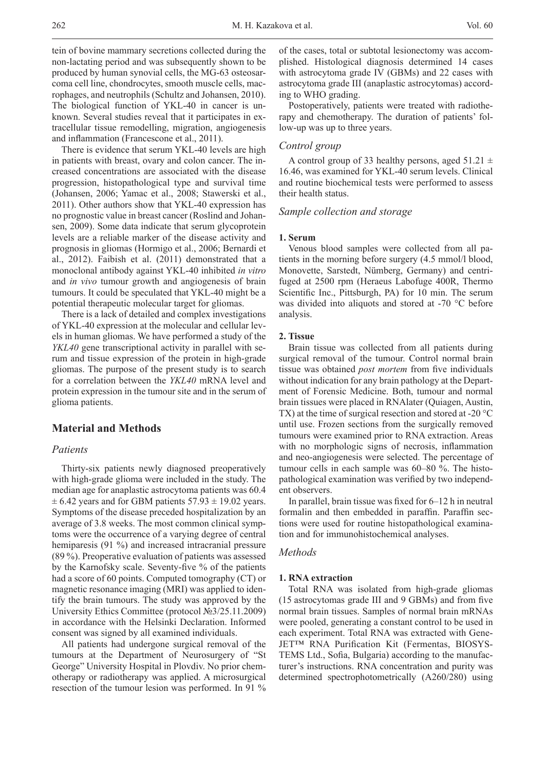262 Vol. 60 M. H. Kazakova et al.

tein of bovine mammary secretions collected during the non-lactating period and was subsequently shown to be produced by human synovial cells, the MG-63 osteosarcoma cell line, chondrocytes, smooth muscle cells, macrophages, and neutrophils (Schultz and Johansen, 2010). The biological function of YKL-40 in cancer is unknown. Several studies reveal that it participates in extracellular tissue remodelling, migration, angiogenesis and inflammation (Francescone et al., 2011).

There is evidence that serum YKL-40 levels are high in patients with breast, ovary and colon cancer. The increased concentrations are associated with the disease progression, histopathological type and survival time (Johansen, 2006; Yamac et al., 2008; Stawerski et al., 2011). Other authors show that YKL-40 expression has no prognostic value in breast cancer (Roslind and Johansen, 2009). Some data indicate that serum glycoprotein levels are a reliable marker of the disease activity and prognosis in gliomas (Hormigo et al., 2006; Bernardi et al., 2012). Faibish et al. (2011) demonstrated that a monoclonal antibody against YKL-40 inhibited *in vitro* and *in vivo* tumour growth and angiogenesis of brain tumours. It could be speculated that YKL-40 might be a potential therapeutic molecular target for gliomas.

There is a lack of detailed and complex investigations of YKL-40 expression at the molecular and cellular levels in human gliomas. We have performed a study of the *YKL40* gene transcriptional activity in parallel with serum and tissue expression of the protein in high-grade gliomas. The purpose of the present study is to search for a correlation between the *YKL40* mRNA level and protein expression in the tumour site and in the serum of glioma patients.

# **Material and Methods**

# *Patients*

Thirty-six patients newly diagnosed preoperatively with high-grade glioma were included in the study. The median age for anaplastic astrocytoma patients was 60.4  $\pm$  6.42 years and for GBM patients 57.93  $\pm$  19.02 years. Symptoms of the disease preceded hospitalization by an average of 3.8 weeks. The most common clinical symptoms were the occurrence of a varying degree of central hemiparesis (91 %) and increased intracranial pressure (89 %). Preoperative evaluation of patients was assessed by the Karnofsky scale. Seventy-five % of the patients had a score of 60 points. Computed tomography (CT) or magnetic resonance imaging (MRI) was applied to identify the brain tumours. The study was approved by the University Ethics Committee (protocol №3/25.11.2009) in accordance with the Helsinki Declaration. Informed consent was signed by all examined individuals.

All patients had undergone surgical removal of the tumours at the Department of Neurosurgery of "St George" University Hospital in Plovdiv. No prior chemotherapy or radiotherapy was applied. A microsurgical resection of the tumour lesion was performed. In 91 % of the cases, total or subtotal lesionectomy was accomplished. Histological diagnosis determined 14 cases with astrocytoma grade IV (GBMs) and 22 cases with astrocytoma grade III (anaplastic astrocytomas) according to WHO grading.

Postoperatively, patients were treated with radiotherapy and chemotherapy. The duration of patients' follow-up was up to three years.

## *Control group*

A control group of 33 healthy persons, aged  $51.21 \pm$ 16.46, was examined for YKL-40 serum levels. Clinical and routine biochemical tests were performed to assess their health status.

# *Sample collection and storage*

#### **1. Serum**

Venous blood samples were collected from all patients in the morning before surgery (4.5 mmol/l blood, Monovette, Sarstedt, Nümberg, Germany) and centrifuged at 2500 rpm (Heraeus Labofuge 400R, Thermo Scientific Inc., Pittsburgh, PA) for 10 min. The serum was divided into aliquots and stored at -70 °C before analysis.

## **2. Tissue**

Brain tissue was collected from all patients during surgical removal of the tumour. Control normal brain tissue was obtained *post mortem* from five individuals without indication for any brain pathology at the Department of Forensic Medicine. Both, tumour and normal brain tissues were placed in RNAlater (Quiagen, Austin, TX) at the time of surgical resection and stored at -20 °C until use. Frozen sections from the surgically removed tumours were examined prior to RNA extraction. Areas with no morphologic signs of necrosis, inflammation and neo-angiogenesis were selected. The percentage of tumour cells in each sample was 60–80 %. The histopathological examination was verified by two independent observers.

In parallel, brain tissue was fixed for 6–12 h in neutral formalin and then embedded in paraffin. Paraffin sections were used for routine histopathological examination and for immunohistochemical analyses.

#### *Methods*

#### **1. RNA extraction**

Total RNA was isolated from high-grade gliomas (15 astrocytomas grade III and 9 GBMs) and from five normal brain tissues. Samples of normal brain mRNAs were pooled, generating a constant control to be used in each experiment. Total RNA was extracted with Gene-JET™ RNA Purification Kit (Fermentas, BIOSYS-TEMS Ltd., Sofia, Bulgaria) according to the manufacturer's instructions. RNA concentration and purity was determined spectrophotometrically (A260/280) using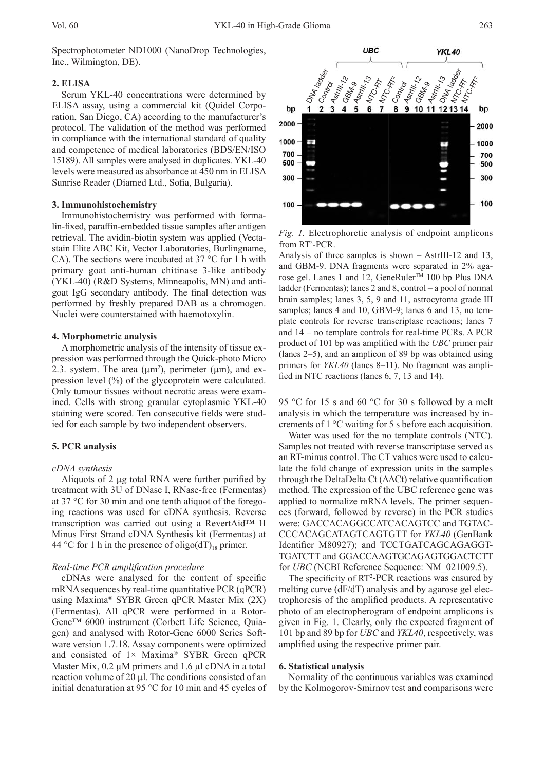Spectrophotometer ND1000 (NanoDrop Technologies, Inc., Wilmington, DE).

#### **2. ELISA**

Serum YKL-40 concentrations were determined by ELISA assay, using a commercial kit (Quidel Corporation, San Diego, CA) according to the manufacturer's protocol. The validation of the method was performed in compliance with the international standard of quality and competence of medical laboratories (BDS/EN/ISO 15189). All samples were analysed in duplicates. YKL-40 levels were measured as absorbance at 450 nm in ELISA Sunrise Reader (Diamed Ltd., Sofia, Bulgaria).

#### **3. Immunohistochemistry**

Immunohistochemistry was performed with formalin-fixed, paraffin-embedded tissue samples after antigen retrieval. The avidin-biotin system was applied (Vectastain Elite ABC Kit, Vector Laboratories, Burlingname, CA). The sections were incubated at 37 °C for 1 h with primary goat anti-human chitinase 3-like antibody (YKL-40) (R&D Systems, Minneapolis, MN) and antigoat IgG secondary antibody. The final detection was performed by freshly prepared DAB as a chromogen. Nuclei were counterstained with haemotoxylin.

#### **4. Morphometric analysis**

A morphometric analysis of the intensity of tissue expression was performed through the Quick-photo Micro 2.3. system. The area  $(\mu m^2)$ , perimeter  $(\mu m)$ , and expression level (%) of the glycoprotein were calculated. Only tumour tissues without necrotic areas were examined. Cells with strong granular cytoplasmic YKL-40 staining were scored. Ten consecutive fields were studied for each sample by two independent observers.

#### **5. PCR analysis**

#### *cDNA synthesis*

Aliquots of 2 µg total RNA were further purified by treatment with 3U of DNase I, RNase-free (Fermentas) at 37 °C for 30 min and one tenth aliquot of the foregoing reactions was used for cDNA synthesis. Reverse transcription was carried out using a RevertAid™ H Minus First Strand cDNA Synthesis kit (Fermentas) at 44 °C for 1 h in the presence of oligo(dT)<sub>18</sub> primer.

#### *Real-time PCR amplification procedure*

cDNAs were analysed for the content of specific mRNA sequences by real-time quantitative PCR (qPCR) using Maxima® SYBR Green qPCR Master Mix (2X) (Fermentas). All qPCR were performed in a Rotor-Gene™ 6000 instrument (Corbett Life Science, Quiagen) and analysed with Rotor-Gene 6000 Series Software version 1.7.18. Assay components were optimized and consisted of  $1 \times$  Maxima® SYBR Green qPCR Master Mix,  $0.2 \mu M$  primers and 1.6  $\mu$ l cDNA in a total reaction volume of 20 µl. The conditions consisted of an initial denaturation at 95 °C for 10 min and 45 cycles of



*Fig. 1.* Electrophoretic analysis of endpoint amplicons from RT<sup>2</sup>-PCR.

Analysis of three samples is shown – AstrIII-12 and 13, and GBM-9. DNA fragments were separated in 2% agarose gel. Lanes 1 and 12, GeneRuler<sup>™</sup> 100 bp Plus DNA ladder (Fermentas); lanes 2 and 8, control – a pool of normal brain samples; lanes 3, 5, 9 and 11, astrocytoma grade III samples; lanes 4 and 10, GBM-9; lanes 6 and 13, no template controls for reverse transcriptase reactions; lanes 7 and 14 – no template controls for real-time PCRs. A PCR product of 101 bp was amplified with the *UBC* primer pair (lanes 2–5), and an amplicon of 89 bp was obtained using primers for *YKL40* (lanes 8–11). No fragment was amplified in NTC reactions (lanes 6, 7, 13 and 14).

95 °C for 15 s and 60 °C for 30 s followed by a melt analysis in which the temperature was increased by increments of 1 °C waiting for 5 s before each acquisition.

Water was used for the no template controls (NTC). Samples not treated with reverse transcriptase served as an RT-minus control. The CT values were used to calculate the fold change of expression units in the samples through the DeltaDelta Ct  $(\Delta \Delta Ct)$  relative quantification method. The expression of the UBC reference gene was applied to normalize mRNA levels. The primer sequences (forward, followed by reverse) in the PCR studies were: GACCACAGGCCATCACAGTCC and TGTAC-CCCACAGCATAGTCAGTGTT for *YKL40* (GenBank Identifier M80927); and TCCTGATCAGCAGAGGT-TGATCTT and GGACCAAGTGCAGAGTGGACTCTT for *UBC* (NCBI Reference Sequence: NM\_021009.5).

The specificity of  $RT^2$ -PCR reactions was ensured by melting curve (dF/dT) analysis and by agarose gel electrophoresis of the amplified products. A representative photo of an electropherogram of endpoint amplicons is given in Fig. 1. Clearly, only the expected fragment of 101 bp and 89 bp for *UBC* and *YKL40*, respectively, was amplified using the respective primer pair.

#### **6. Statistical analysis**

Normality of the continuous variables was examined by the Kolmogorov-Smirnov test and comparisons were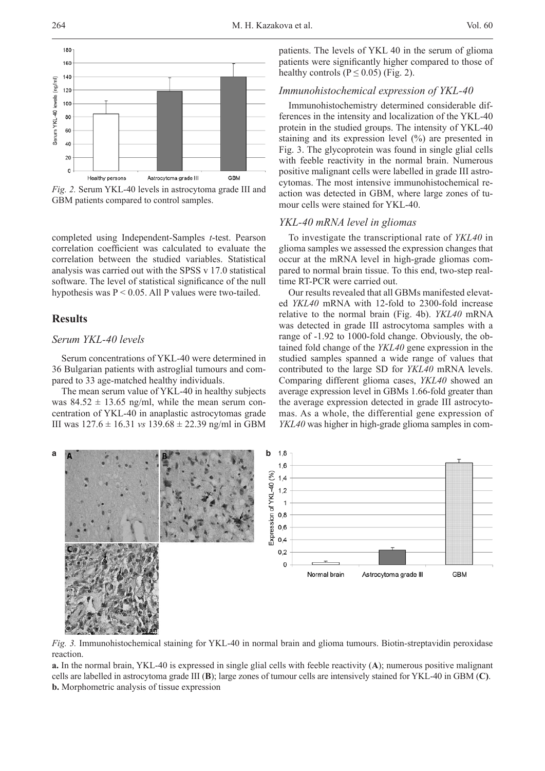

*Fig. 2.* Serum YKL-40 levels in astrocytoma grade III and GBM patients compared to control samples.

completed using Independent-Samples *t*-test. Pearson correlation coefficient was calculated to evaluate the correlation between the studied variables. Statistical analysis was carried out with the SPSS v 17.0 statistical software. The level of statistical significance of the null hypothesis was  $P < 0.05$ . All P values were two-tailed.

# **Results**

# *Serum YKL-40 levels*

Serum concentrations of YKL-40 were determined in 36 Bulgarian patients with astroglial tumours and compared to 33 age-matched healthy individuals.

The mean serum value of YKL-40 in healthy subjects was  $84.52 \pm 13.65$  ng/ml, while the mean serum concentration of YKL-40 in anaplastic astrocytomas grade III was 127.6 ± 16.31 *vs* 139.68 ± 22.39 ng/ml in GBM

patients. The levels of YKL 40 in the serum of glioma patients were significantly higher compared to those of healthy controls ( $P \le 0.05$ ) (Fig. 2).

# *Immunohistochemical expression of YKL-40*

Immunohistochemistry determined considerable differences in the intensity and localization of the YKL-40 protein in the studied groups. The intensity of YKL-40 staining and its expression level (%) are presented in Fig. 3. The glycoprotein was found in single glial cells with feeble reactivity in the normal brain. Numerous positive malignant cells were labelled in grade III astrocytomas. The most intensive immunohistochemical reaction was detected in GBM, where large zones of tumour cells were stained for YKL-40.

#### *YKL-40 mRNA level in gliomas*

To investigate the transcriptional rate of *YKL40* in glioma samples we assessed the expression changes that occur at the mRNA level in high-grade gliomas compared to normal brain tissue. To this end, two-step realtime RT-PCR were carried out.

Our results revealed that all GBMs manifested elevated *YKL40* mRNA with 12-fold to 2300-fold increase relative to the normal brain (Fig. 4b). *YKL40* mRNA was detected in grade III astrocytoma samples with a range of -1.92 to 1000-fold change. Obviously, the obtained fold change of the *YKL40* gene expression in the studied samples spanned a wide range of values that contributed to the large SD for *YKL40* mRNA levels. Comparing different glioma cases, *YKL40* showed an average expression level in GBMs 1.66-fold greater than the average expression detected in grade III astrocytomas. As a whole, the differential gene expression of *YKL40* was higher in high-grade glioma samples in com-



*Fig. 3.* Immunohistochemical staining for YKL-40 in normal brain and glioma tumours. Biotin-streptavidin peroxidase reaction.

**a.** In the normal brain, YKL-40 is expressed in single glial cells with feeble reactivity (**A**); numerous positive malignant cells are labelled in astrocytoma grade III (**B**); large zones of tumour cells are intensively stained for YKL-40 in GBM (**C)**. **b.** Morphometric analysis of tissue expression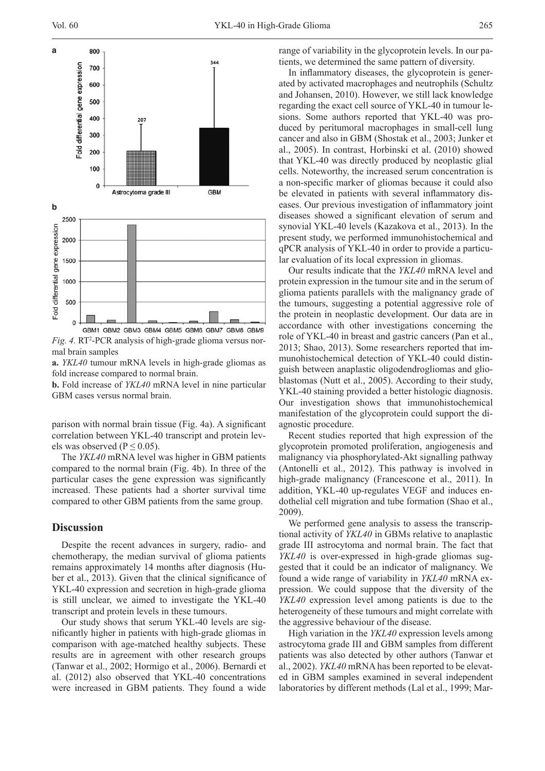

Fig. 4. RT<sup>2</sup>-PCR analysis of high-grade glioma versus normal brain samples

**a.** *YKL40* tumour mRNA levels in high-grade gliomas as fold increase compared to normal brain.

**b.** Fold increase of *YKL40* mRNA level in nine particular GBM cases versus normal brain.

parison with normal brain tissue (Fig. 4a). A significant correlation between YKL-40 transcript and protein levels was observed ( $P \le 0.05$ ).

The *YKL40* mRNA level was higher in GBM patients compared to the normal brain (Fig. 4b). In three of the particular cases the gene expression was significantly increased. These patients had a shorter survival time compared to other GBM patients from the same group.

# **Discussion**

Despite the recent advances in surgery, radio- and chemotherapy, the median survival of glioma patients remains approximately 14 months after diagnosis (Huber et al., 2013). Given that the clinical significance of YKL-40 expression and secretion in high-grade glioma is still unclear, we aimed to investigate the YKL-40 transcript and protein levels in these tumours.

Our study shows that serum YKL-40 levels are significantly higher in patients with high-grade gliomas in comparison with age-matched healthy subjects. These results are in agreement with other research groups (Tanwar et al., 2002; Hormigo et al., 2006). Bernardi et al. (2012) also observed that YKL-40 concentrations were increased in GBM patients. They found a wide range of variability in the glycoprotein levels. In our patients, we determined the same pattern of diversity.

In inflammatory diseases, the glycoprotein is generated by activated macrophages and neutrophils (Schultz and Johansen, 2010). However, we still lack knowledge regarding the exact cell source of YKL-40 in tumour lesions. Some authors reported that YKL-40 was produced by peritumoral macrophages in small-cell lung cancer and also in GBM (Shostak et al., 2003; Junker et al., 2005). In contrast, Horbinski et al. (2010) showed that YKL-40 was directly produced by neoplastic glial cells. Noteworthy, the increased serum concentration is a non-specific marker of gliomas because it could also be elevated in patients with several inflammatory diseases. Our previous investigation of inflammatory joint diseases showed a significant elevation of serum and synovial YKL-40 levels (Kazakova et al., 2013). In the present study, we performed immunohistochemical and qPCR analysis of YKL-40 in order to provide a particular evaluation of its local expression in gliomas.

Our results indicate that the *YKL40* mRNA level and protein expression in the tumour site and in the serum of glioma patients parallels with the malignancy grade of the tumours, suggesting a potential aggressive role of the protein in neoplastic development. Our data are in accordance with other investigations concerning the role of YKL-40 in breast and gastric cancers (Pan et al., 2013; Shao, 2013). Some researchers reported that immunohistochemical detection of YKL-40 could distinguish between anaplastic oligodendrogliomas and glioblastomas (Nutt et al., 2005). According to their study, YKL-40 staining provided a better histologic diagnosis. Our investigation shows that immunohistochemical manifestation of the glycoprotein could support the diagnostic procedure.

Recent studies reported that high expression of the glycoprotein promoted proliferation, angiogenesis and malignancy via phosphorylated-Akt signalling pathway (Antonelli et al., 2012). This pathway is involved in high-grade malignancy (Francescone et al., 2011). In addition, YKL-40 up-regulates VEGF and induces endothelial cell migration and tube formation (Shao et al., 2009).

We performed gene analysis to assess the transcriptional activity of *YKL40* in GBMs relative to anaplastic grade III astrocytoma and normal brain. The fact that *YKL40* is over-expressed in high-grade gliomas suggested that it could be an indicator of malignancy. We found a wide range of variability in *YKL40* mRNA expression. We could suppose that the diversity of the *YKL40* expression level among patients is due to the heterogeneity of these tumours and might correlate with the aggressive behaviour of the disease.

High variation in the *YKL40* expression levels among astrocytoma grade III and GBM samples from different patients was also detected by other authors (Tanwar et al., 2002). *YKL40* mRNA has been reported to be elevated in GBM samples examined in several independent laboratories by different methods (Lal et al., 1999; Mar-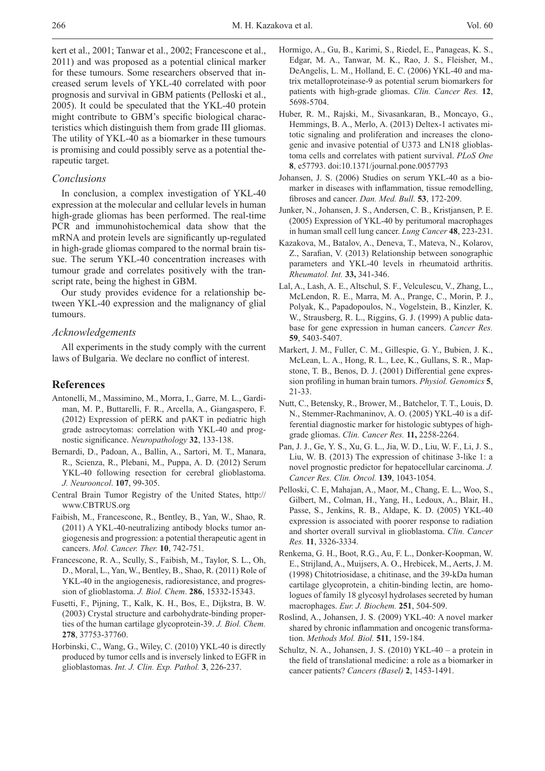kert et al., 2001; Tanwar et al., 2002; Francescone et al., 2011) and was proposed as a potential clinical marker for these tumours. Some researchers observed that increased serum levels of YKL-40 correlated with poor prognosis and survival in GBM patients (Pelloski et al., 2005). It could be speculated that the YKL-40 protein might contribute to GBM's specific biological characteristics which distinguish them from grade III gliomas. The utility of YKL-40 as a biomarker in these tumours is promising and could possibly serve as a potential therapeutic target.

# *Conclusions*

In conclusion, a complex investigation of YKL-40 expression at the molecular and cellular levels in human high-grade gliomas has been performed. The real-time PCR and immunohistochemical data show that the mRNA and protein levels are significantly up-regulated in high-grade gliomas compared to the normal brain tissue. The serum YKL-40 concentration increases with tumour grade and correlates positively with the transcript rate, being the highest in GBM.

Our study provides evidence for a relationship between YKL-40 expression and the malignancy of glial tumours.

## *Acknowledgements*

All experiments in the study comply with the current laws of Bulgaria. We declare no conflict of interest.

#### **References**

- Antonelli, M., Massimino, M., Morra, I., Garre, M. L., Gardiman, M. P., Buttarelli, F. R., Arcella, A., Giangaspero, F. (2012) Expression of pERK and pAKT in pediatric high grade astrocytomas: correlation with YKL-40 and prognostic significance. *Neuropathology* **32**, 133-138.
- Bernardi, D., Padoan, A., Ballin, A., Sartori, M. T., Manara, R., Scienza, R., Plebani, M., Puppa, A. D. (2012) Serum YKL-40 following resection for cerebral glioblastoma. *J. Neurooncol*. **107**, 99-305.
- Central Brain Tumor Registry of the United States, http:// www.CBTRUS.org
- Faibish, M., Francescone, R., Bentley, B., Yan, W., Shao, R. (2011) A YKL-40-neutralizing antibody blocks tumor angiogenesis and progression: a potential therapeutic agent in cancers. *Mol. Cancer. Ther.* **10**, 742-751.
- Francescone, R. A., Scully, S., Faibish, M., Taylor, S. L., Oh, D., Moral, L., Yan, W., Bentley, B., Shao, R. (2011) Role of YKL-40 in the angiogenesis, radioresistance, and progression of glioblastoma. *J. Biol. Chem*. **286**, 15332-15343.
- Fusetti, F., Pijning, T., Kalk, K. H., Bos, E., Dijkstra, B. W. (2003) Crystal structure and carbohydrate-binding properties of the human cartilage glycoprotein-39. *J. Biol. Chem.* **278**, 37753-37760.
- Horbinski, C., Wang, G., Wiley, C. (2010) YKL-40 is directly produced by tumor cells and is inversely linked to EGFR in glioblastomas. *Int. J. Clin. Exp. Pathol.* **3**, 226-237.
- Hormigo, A., Gu, B., Karimi, S., Riedel, E., Panageas, K. S., Edgar, M. A., Tanwar, M. K., Rao, J. S., Fleisher, M., DeAngelis, L. M., Holland, E. C. (2006) YKL-40 and matrix metalloproteinase-9 as potential serum biomarkers for patients with high-grade gliomas. *Clin. Cancer Res.* **12**, 5698-5704.
- Huber, R. M., Rajski, M., Sivasankaran, B., Moncayo, G., Hemmings, B. A., Merlo, A. (2013) Deltex-1 activates mitotic signaling and proliferation and increases the clonogenic and invasive potential of U373 and LN18 glioblastoma cells and correlates with patient survival. *PLoS One* **8**, e57793. doi:10.1371/journal.pone.0057793
- Johansen, J. S. (2006) Studies on serum YKL-40 as a biomarker in diseases with inflammation, tissue remodelling, fibroses and cancer. *Dan. Med. Bull.* **53**, 172-209.
- Junker, N., Johansen, J. S., Andersen, C. B., Kristjansen, P. E. (2005) Expression of YKL-40 by peritumoral macrophages in human small cell lung cancer. *Lung Cancer* **48**, 223-231.
- Kazakova, M., Batalov, A., Deneva, T., Mateva, N., Kolarov, Z., Sarafian, V. (2013) Relationship between sonographic parameters and YKL-40 levels in rheumatoid arthritis. *Rheumatol. Int.* **33,** 341-346.
- Lal, A., Lash, A. E., Altschul, S. F., Velculescu, V., Zhang, L., McLendon, R. E., Marra, M. A., Prange, C., Morin, P. J., Polyak, K., Papadopoulos, N., Vogelstein, B., Kinzler, K. W., Strausberg, R. L., Riggins, G. J. (1999) A public database for gene expression in human cancers. *Cancer Res.* **59**, 5403-5407.
- Markert, J. M., Fuller, C. M., Gillespie, G. Y., Bubien, J. K., McLean, L. A., Hong, R. L., Lee, K., Gullans, S. R., Mapstone, T. B., Benos, D. J. (2001) Differential gene expression profiling in human brain tumors. *Physiol. Genomics* **5**, 21-33.
- Nutt, C., Betensky, R., Brower, M., Batchelor, T. T., Louis, D. N., Stemmer-Rachmaninov, A. O. (2005) YKL-40 is a differential diagnostic marker for histologic subtypes of highgrade gliomas. *Clin. Cancer Res.* **11,** 2258-2264.
- Pan, J. J., Ge, Y. S., Xu, G. L., Jia, W. D., Liu, W. F., Li, J. S., Liu, W. B. (2013) The expression of chitinase 3-like 1: a novel prognostic predictor for hepatocellular carcinoma. *J. Cancer Res. Clin. Oncol.* **139**, 1043-1054.
- Pelloski, C. E, Mahajan, A., Maor, M., Chang, E. L., Woo, S., Gilbert, M., Colman, H., Yang, H., Ledoux, A., Blair, H., Passe, S., Jenkins, R. B., Aldape, K. D. (2005) YKL-40 expression is associated with poorer response to radiation and shorter overall survival in glioblastoma. *Clin. Cancer Res.* **11**, 3326-3334.
- Renkema, G. H., Boot, R.G., Au, F. L., Donker-Koopman, W. E., Strijland, A., Muijsers, A. O., Hrebicek, M., Aerts, J. M. (1998) Chitotriosidase, a chitinase, and the 39-kDa human cartilage glycoprotein, a chitin-binding lectin, are homologues of family 18 glycosyl hydrolases secreted by human macrophages. *Eur. J. Biochem.* **251**, 504-509.
- Roslind, A., Johansen, J. S. (2009) YKL-40: A novel marker shared by chronic inflammation and oncogenic transformation. *Methods Mol. Biol.* **511**, 159-184.
- Schultz, N. A., Johansen, J. S. (2010) YKL-40 a protein in the field of translational medicine: a role as a biomarker in cancer patients? *Cancers (Basel)* **2**, 1453-1491.